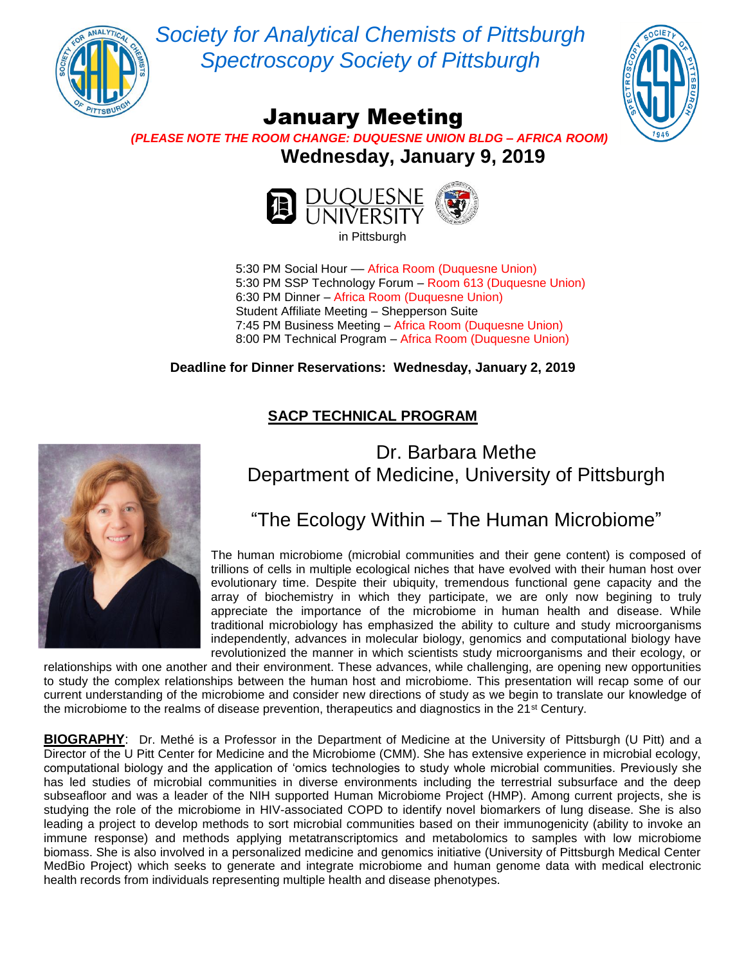

*Society for Analytical Chemists of Pittsburgh Spectroscopy Society of Pittsburgh*



## January Meeting

 *(PLEASE NOTE THE ROOM CHANGE: DUQUESNE UNION BLDG – AFRICA ROOM)*  **Wednesday, January 9, 2019**



in Pittsburgh

5:30 PM Social Hour –– Africa Room (Duquesne Union) 5:30 PM SSP Technology Forum – Room 613 (Duquesne Union) 6:30 PM Dinner – Africa Room (Duquesne Union) Student Affiliate Meeting – Shepperson Suite 7:45 PM Business Meeting – Africa Room (Duquesne Union) 8:00 PM Technical Program – Africa Room (Duquesne Union)

**Deadline for Dinner Reservations: Wednesday, January 2, 2019**

#### **SACP TECHNICAL PROGRAM**



### Dr. Barbara Methe Department of Medicine, University of Pittsburgh

### "The Ecology Within – The Human Microbiome"

The human microbiome (microbial communities and their gene content) is composed of trillions of cells in multiple ecological niches that have evolved with their human host over evolutionary time. Despite their ubiquity, tremendous functional gene capacity and the array of biochemistry in which they participate, we are only now begining to truly appreciate the importance of the microbiome in human health and disease. While traditional microbiology has emphasized the ability to culture and study microorganisms independently, advances in molecular biology, genomics and computational biology have revolutionized the manner in which scientists study microorganisms and their ecology, or

relationships with one another and their environment. These advances, while challenging, are opening new opportunities to study the complex relationships between the human host and microbiome. This presentation will recap some of our current understanding of the microbiome and consider new directions of study as we begin to translate our knowledge of the microbiome to the realms of disease prevention, therapeutics and diagnostics in the 21<sup>st</sup> Century.

**BIOGRAPHY**: Dr. Methé is a Professor in the Department of Medicine at the University of Pittsburgh (U Pitt) and a Director of the U Pitt Center for Medicine and the Microbiome (CMM). She has extensive experience in microbial ecology, computational biology and the application of 'omics technologies to study whole microbial communities. Previously she has led studies of microbial communities in diverse environments including the terrestrial subsurface and the deep subseafloor and was a leader of the NIH supported Human Microbiome Project (HMP). Among current projects, she is studying the role of the microbiome in HIV-associated COPD to identify novel biomarkers of lung disease. She is also leading a project to develop methods to sort microbial communities based on their immunogenicity (ability to invoke an immune response) and methods applying metatranscriptomics and metabolomics to samples with low microbiome biomass. She is also involved in a personalized medicine and genomics initiative (University of Pittsburgh Medical Center MedBio Project) which seeks to generate and integrate microbiome and human genome data with medical electronic health records from individuals representing multiple health and disease phenotypes.